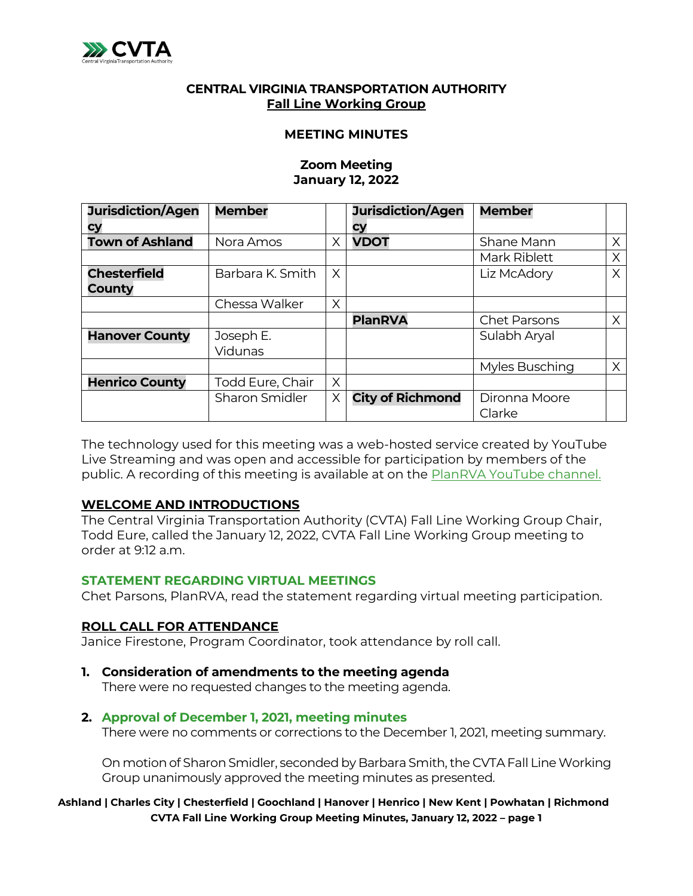

## **CENTRAL VIRGINIA TRANSPORTATION AUTHORITY Fall Line Working Group**

#### **MEETING MINUTES**

#### **Zoom Meeting January 12, 2022**

| <b>Jurisdiction/Agen</b> | <b>Member</b>           |   | <b>Jurisdiction/Agen</b> | <b>Member</b>       |   |
|--------------------------|-------------------------|---|--------------------------|---------------------|---|
| cу                       |                         |   | Сy                       |                     |   |
| <b>Town of Ashland</b>   | Nora Amos               | Χ | <b>VDOT</b>              | Shane Mann          | X |
|                          |                         |   |                          | Mark Riblett        | X |
| <b>Chesterfield</b>      | Barbara K. Smith        | X |                          | Liz McAdory         | X |
| County                   |                         |   |                          |                     |   |
|                          | Chessa Walker           | X |                          |                     |   |
|                          |                         |   | <b>PlanRVA</b>           | <b>Chet Parsons</b> | X |
| <b>Hanover County</b>    | Joseph E.               |   |                          | Sulabh Aryal        |   |
|                          | Vidunas                 |   |                          |                     |   |
|                          |                         |   |                          | Myles Busching      | X |
| <b>Henrico County</b>    | <b>Todd Eure, Chair</b> | X |                          |                     |   |
|                          | Sharon Smidler          | X | <b>City of Richmond</b>  | Dironna Moore       |   |
|                          |                         |   |                          | Clarke              |   |

The technology used for this meeting was a web-hosted service created by YouTube Live Streaming and was open and accessible for participation by members of the public. A recording of this meeting is available at on the [PlanRVA YouTube channel.](https://youtu.be/wZdbsYDS65c)

## **WELCOME AND INTRODUCTIONS**

The Central Virginia Transportation Authority (CVTA) Fall Line Working Group Chair, Todd Eure, called the January 12, 2022, CVTA Fall Line Working Group meeting to order at 9:12 a.m.

#### **STATEMENT REGARDING VIRTUAL MEETINGS**

Chet Parsons, PlanRVA, read the statement regarding virtual meeting participation.

## **ROLL CALL FOR ATTENDANCE**

Janice Firestone, Program Coordinator, took attendance by roll call.

## **1. Consideration of amendments to the meeting agenda**

There were no requested changes to the meeting agenda.

#### **2. Approval of December 1, 2021, meeting minutes**

There were no comments or corrections to the December 1, 2021, meeting summary.

On motion of Sharon Smidler, seconded by Barbara Smith, the CVTA Fall Line Working Group unanimously approved the meeting minutes as presented.

## **Ashland | Charles City | Chesterfield | Goochland | Hanover | Henrico | New Kent | Powhatan | Richmond CVTA Fall Line Working Group Meeting Minutes, January 12, 2022 – page 1**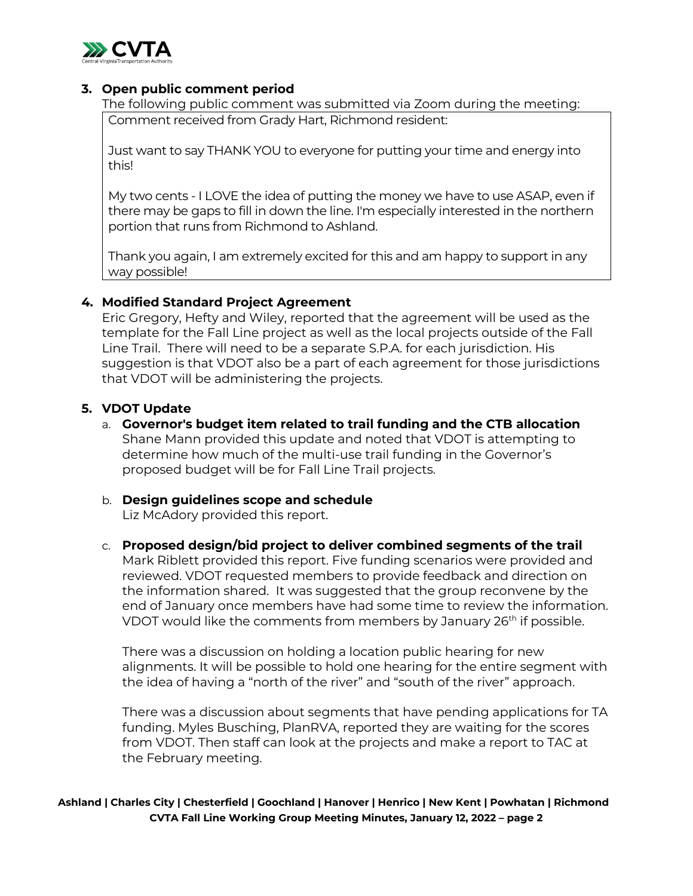

# **3. Open public comment period**

The following public comment was submitted via Zoom during the meeting: Comment received from Grady Hart, Richmond resident:

Just want to say THANK YOU to everyone for putting your time and energy into this!

My two cents - I LOVE the idea of putting the money we have to use ASAP, even if there may be gaps to fill in down the line. I'm especially interested in the northern portion that runs from Richmond to Ashland.

Thank you again, I am extremely excited for this and am happy to support in any way possible!

## **4. Modified Standard Project Agreement**

Eric Gregory, Hefty and Wiley, reported that the agreement will be used as the template for the Fall Line project as well as the local projects outside of the Fall Line Trail. There will need to be a separate S.P.A. for each jurisdiction. His suggestion is that VDOT also be a part of each agreement for those jurisdictions that VDOT will be administering the projects.

# **5. VDOT Update**

a. **Governor's budget item related to trail funding and the CTB allocation**

Shane Mann provided this update and noted that VDOT is attempting to determine how much of the multi-use trail funding in the Governor's proposed budget will be for Fall Line Trail projects.

b. **Design guidelines scope and schedule**  Liz McAdory provided this report.

c. **Proposed design/bid project to deliver combined segments of the trail** Mark Riblett provided this report. Five funding scenarios were provided and reviewed. VDOT requested members to provide feedback and direction on the information shared. It was suggested that the group reconvene by the end of January once members have had some time to review the information. VDOT would like the comments from members by January 26<sup>th</sup> if possible.

There was a discussion on holding a location public hearing for new alignments. It will be possible to hold one hearing for the entire segment with the idea of having a "north of the river" and "south of the river" approach.

There was a discussion about segments that have pending applications for TA funding. Myles Busching, PlanRVA, reported they are waiting for the scores from VDOT. Then staff can look at the projects and make a report to TAC at the February meeting.

**Ashland | Charles City | Chesterfield | Goochland | Hanover | Henrico | New Kent | Powhatan | Richmond CVTA Fall Line Working Group Meeting Minutes, January 12, 2022 – page 2**